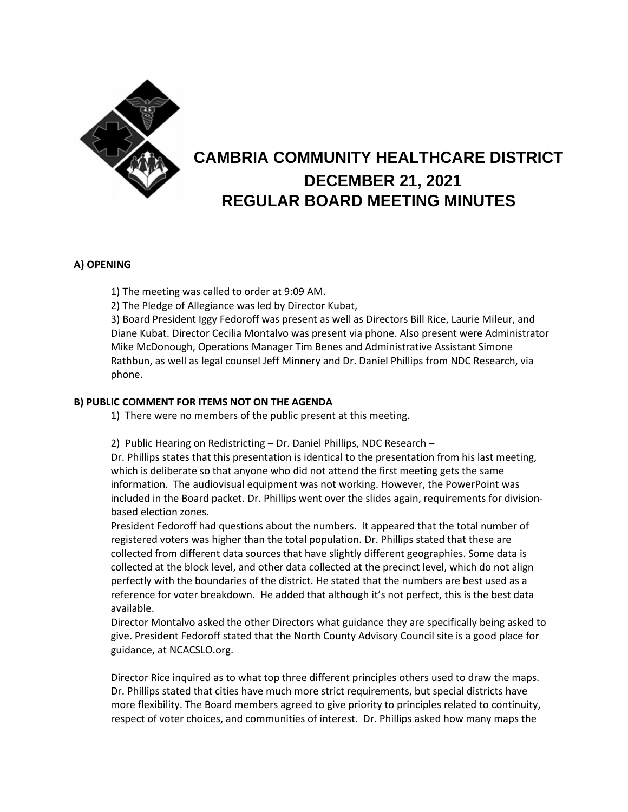

# **CAMBRIA COMMUNITY HEALTHCARE DISTRICT DECEMBER 21, 2021 REGULAR BOARD MEETING MINUTES**

## **A) OPENING**

1) The meeting was called to order at 9:09 AM.

2) The Pledge of Allegiance was led by Director Kubat,

3) Board President Iggy Fedoroff was present as well as Directors Bill Rice, Laurie Mileur, and Diane Kubat. Director Cecilia Montalvo was present via phone. Also present were Administrator Mike McDonough, Operations Manager Tim Benes and Administrative Assistant Simone Rathbun, as well as legal counsel Jeff Minnery and Dr. Daniel Phillips from NDC Research, via phone.

### **B) PUBLIC COMMENT FOR ITEMS NOT ON THE AGENDA**

1) There were no members of the public present at this meeting.

2) Public Hearing on Redistricting – Dr. Daniel Phillips, NDC Research –

Dr. Phillips states that this presentation is identical to the presentation from his last meeting, which is deliberate so that anyone who did not attend the first meeting gets the same information. The audiovisual equipment was not working. However, the PowerPoint was included in the Board packet. Dr. Phillips went over the slides again, requirements for divisionbased election zones.

President Fedoroff had questions about the numbers. It appeared that the total number of registered voters was higher than the total population. Dr. Phillips stated that these are collected from different data sources that have slightly different geographies. Some data is collected at the block level, and other data collected at the precinct level, which do not align perfectly with the boundaries of the district. He stated that the numbers are best used as a reference for voter breakdown. He added that although it's not perfect, this is the best data available.

Director Montalvo asked the other Directors what guidance they are specifically being asked to give. President Fedoroff stated that the North County Advisory Council site is a good place for guidance, at NCACSLO.org.

Director Rice inquired as to what top three different principles others used to draw the maps. Dr. Phillips stated that cities have much more strict requirements, but special districts have more flexibility. The Board members agreed to give priority to principles related to continuity, respect of voter choices, and communities of interest. Dr. Phillips asked how many maps the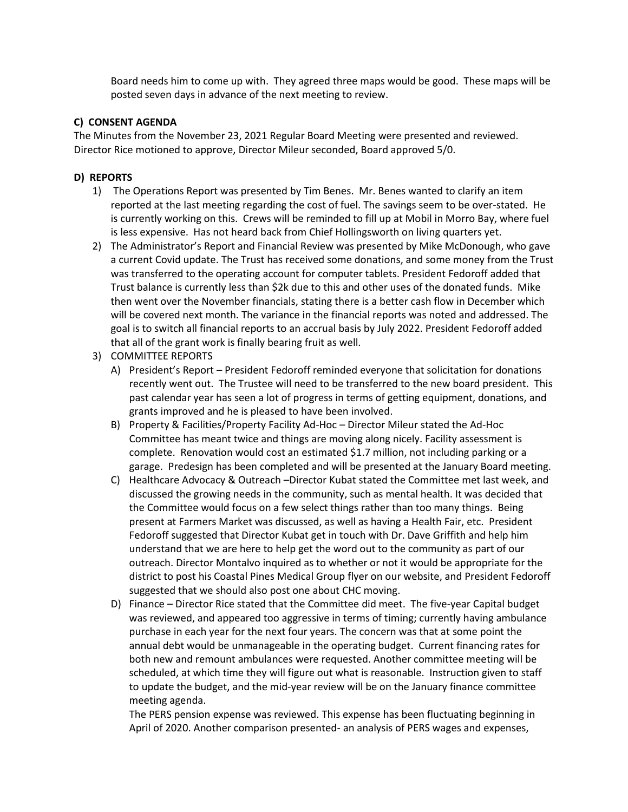Board needs him to come up with. They agreed three maps would be good. These maps will be posted seven days in advance of the next meeting to review.

#### **C) CONSENT AGENDA**

The Minutes from the November 23, 2021 Regular Board Meeting were presented and reviewed. Director Rice motioned to approve, Director Mileur seconded, Board approved 5/0.

### **D) REPORTS**

- 1) The Operations Report was presented by Tim Benes. Mr. Benes wanted to clarify an item reported at the last meeting regarding the cost of fuel. The savings seem to be over-stated. He is currently working on this. Crews will be reminded to fill up at Mobil in Morro Bay, where fuel is less expensive. Has not heard back from Chief Hollingsworth on living quarters yet.
- 2) The Administrator's Report and Financial Review was presented by Mike McDonough, who gave a current Covid update. The Trust has received some donations, and some money from the Trust was transferred to the operating account for computer tablets. President Fedoroff added that Trust balance is currently less than \$2k due to this and other uses of the donated funds. Mike then went over the November financials, stating there is a better cash flow in December which will be covered next month. The variance in the financial reports was noted and addressed. The goal is to switch all financial reports to an accrual basis by July 2022. President Fedoroff added that all of the grant work is finally bearing fruit as well.
- 3) COMMITTEE REPORTS
	- A) President's Report President Fedoroff reminded everyone that solicitation for donations recently went out. The Trustee will need to be transferred to the new board president. This past calendar year has seen a lot of progress in terms of getting equipment, donations, and grants improved and he is pleased to have been involved.
	- B) Property & Facilities/Property Facility Ad-Hoc Director Mileur stated the Ad-Hoc Committee has meant twice and things are moving along nicely. Facility assessment is complete. Renovation would cost an estimated \$1.7 million, not including parking or a garage. Predesign has been completed and will be presented at the January Board meeting.
	- C) Healthcare Advocacy & Outreach –Director Kubat stated the Committee met last week, and discussed the growing needs in the community, such as mental health. It was decided that the Committee would focus on a few select things rather than too many things. Being present at Farmers Market was discussed, as well as having a Health Fair, etc. President Fedoroff suggested that Director Kubat get in touch with Dr. Dave Griffith and help him understand that we are here to help get the word out to the community as part of our outreach. Director Montalvo inquired as to whether or not it would be appropriate for the district to post his Coastal Pines Medical Group flyer on our website, and President Fedoroff suggested that we should also post one about CHC moving.
	- D) Finance Director Rice stated that the Committee did meet. The five-year Capital budget was reviewed, and appeared too aggressive in terms of timing; currently having ambulance purchase in each year for the next four years. The concern was that at some point the annual debt would be unmanageable in the operating budget. Current financing rates for both new and remount ambulances were requested. Another committee meeting will be scheduled, at which time they will figure out what is reasonable. Instruction given to staff to update the budget, and the mid-year review will be on the January finance committee meeting agenda.

The PERS pension expense was reviewed. This expense has been fluctuating beginning in April of 2020. Another comparison presented- an analysis of PERS wages and expenses,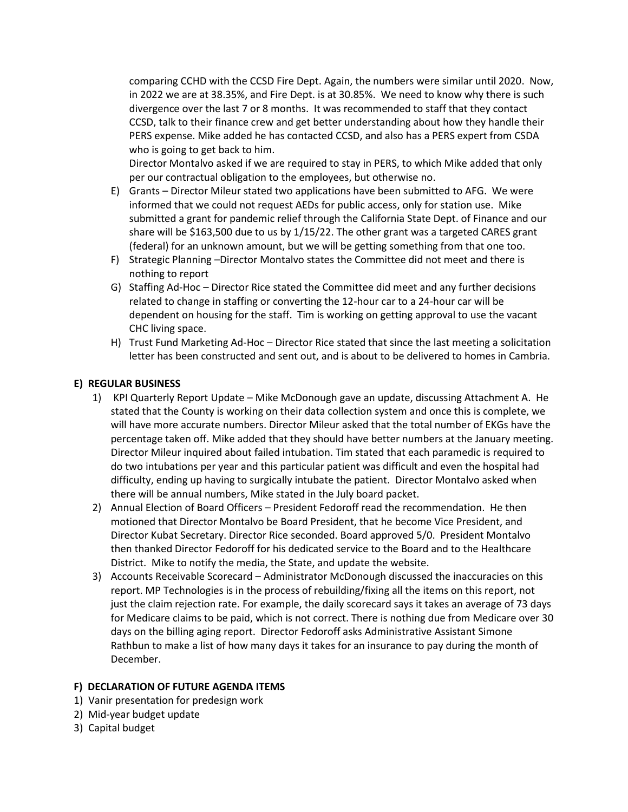comparing CCHD with the CCSD Fire Dept. Again, the numbers were similar until 2020. Now, in 2022 we are at 38.35%, and Fire Dept. is at 30.85%. We need to know why there is such divergence over the last 7 or 8 months. It was recommended to staff that they contact CCSD, talk to their finance crew and get better understanding about how they handle their PERS expense. Mike added he has contacted CCSD, and also has a PERS expert from CSDA who is going to get back to him.

Director Montalvo asked if we are required to stay in PERS, to which Mike added that only per our contractual obligation to the employees, but otherwise no.

- E) Grants Director Mileur stated two applications have been submitted to AFG. We were informed that we could not request AEDs for public access, only for station use. Mike submitted a grant for pandemic relief through the California State Dept. of Finance and our share will be \$163,500 due to us by  $1/15/22$ . The other grant was a targeted CARES grant (federal) for an unknown amount, but we will be getting something from that one too.
- F) Strategic Planning –Director Montalvo states the Committee did not meet and there is nothing to report
- G) Staffing Ad-Hoc Director Rice stated the Committee did meet and any further decisions related to change in staffing or converting the 12-hour car to a 24-hour car will be dependent on housing for the staff. Tim is working on getting approval to use the vacant CHC living space.
- H) Trust Fund Marketing Ad-Hoc Director Rice stated that since the last meeting a solicitation letter has been constructed and sent out, and is about to be delivered to homes in Cambria.

### **E) REGULAR BUSINESS**

- 1) KPI Quarterly Report Update Mike McDonough gave an update, discussing Attachment A. He stated that the County is working on their data collection system and once this is complete, we will have more accurate numbers. Director Mileur asked that the total number of EKGs have the percentage taken off. Mike added that they should have better numbers at the January meeting. Director Mileur inquired about failed intubation. Tim stated that each paramedic is required to do two intubations per year and this particular patient was difficult and even the hospital had difficulty, ending up having to surgically intubate the patient. Director Montalvo asked when there will be annual numbers, Mike stated in the July board packet.
- 2) Annual Election of Board Officers President Fedoroff read the recommendation. He then motioned that Director Montalvo be Board President, that he become Vice President, and Director Kubat Secretary. Director Rice seconded. Board approved 5/0. President Montalvo then thanked Director Fedoroff for his dedicated service to the Board and to the Healthcare District. Mike to notify the media, the State, and update the website.
- 3) Accounts Receivable Scorecard Administrator McDonough discussed the inaccuracies on this report. MP Technologies is in the process of rebuilding/fixing all the items on this report, not just the claim rejection rate. For example, the daily scorecard says it takes an average of 73 days for Medicare claims to be paid, which is not correct. There is nothing due from Medicare over 30 days on the billing aging report. Director Fedoroff asks Administrative Assistant Simone Rathbun to make a list of how many days it takes for an insurance to pay during the month of December.

#### **F) DECLARATION OF FUTURE AGENDA ITEMS**

- 1) Vanir presentation for predesign work
- 2) Mid-year budget update
- 3) Capital budget